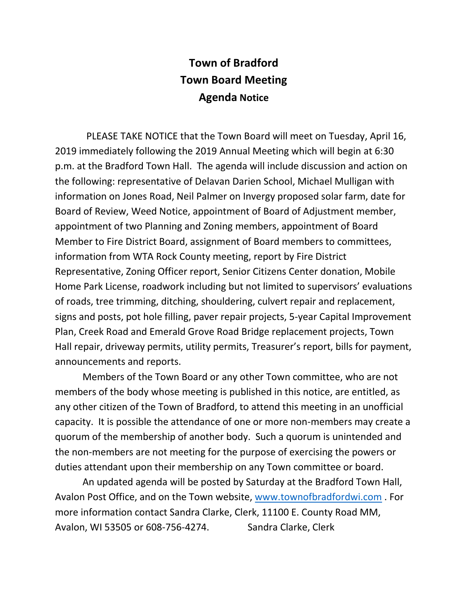## **Town of Bradford Town Board Meeting Agenda Notice**

 PLEASE TAKE NOTICE that the Town Board will meet on Tuesday, April 16, 2019 immediately following the 2019 Annual Meeting which will begin at 6:30 p.m. at the Bradford Town Hall. The agenda will include discussion and action on the following: representative of Delavan Darien School, Michael Mulligan with information on Jones Road, Neil Palmer on Invergy proposed solar farm, date for Board of Review, Weed Notice, appointment of Board of Adjustment member, appointment of two Planning and Zoning members, appointment of Board Member to Fire District Board, assignment of Board members to committees, information from WTA Rock County meeting, report by Fire District Representative, Zoning Officer report, Senior Citizens Center donation, Mobile Home Park License, roadwork including but not limited to supervisors' evaluations of roads, tree trimming, ditching, shouldering, culvert repair and replacement, signs and posts, pot hole filling, paver repair projects, 5-year Capital Improvement Plan, Creek Road and Emerald Grove Road Bridge replacement projects, Town Hall repair, driveway permits, utility permits, Treasurer's report, bills for payment, announcements and reports.

Members of the Town Board or any other Town committee, who are not members of the body whose meeting is published in this notice, are entitled, as any other citizen of the Town of Bradford, to attend this meeting in an unofficial capacity. It is possible the attendance of one or more non-members may create a quorum of the membership of another body. Such a quorum is unintended and the non-members are not meeting for the purpose of exercising the powers or duties attendant upon their membership on any Town committee or board.

An updated agenda will be posted by Saturday at the Bradford Town Hall, Avalon Post Office, and on the Town website, [www.townofbradfordwi.com](http://www.townofbradfordwi.com/) . For more information contact Sandra Clarke, Clerk, 11100 E. County Road MM, Avalon, WI 53505 or 608-756-4274. Sandra Clarke, Clerk